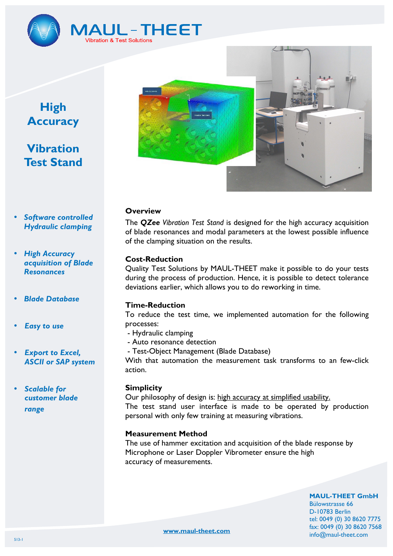

# **MAUL-THEET** Vibration & Test Solutions

# **High Accuracy**

# **Vibration Test Stand**

- *Software controlled Hydraulic clamping*
- *High Accuracy acquisition of Blade Resonances*
- *Blade Database*
- *Easy to use*
- *Export to Excel, ASCII or SAP system*
- *Scalable for customer blade range*



### **Overview**

The *QZee Vibration Test Stand* is designed for the high accuracy acquisition of blade resonances and modal parameters at the lowest possible influence of the clamping situation on the results.

# **Cost-Reduction**

Quality Test Solutions by MAUL-THEET make it possible to do your tests during the process of production. Hence, it is possible to detect tolerance deviations earlier, which allows you to do reworking in time.

# **Time-Reduction**

To reduce the test time, we implemented automation for the following processes:

- Hydraulic clamping
- Auto resonance detection
- Test-Object Management (Blade Database)

With that automation the measurement task transforms to an few-click action.

#### **Simplicity**

Our philosophy of design is: high accuracy at simplified usability. The test stand user interface is made to be operated by production personal with only few training at measuring vibrations.

#### **Measurement Method**

The use of hammer excitation and acquisition of the blade response by Microphone or Laser Doppler Vibrometer ensure the high accuracy of measurements.

> **MAUL-THEET GmbH**  Bülowstrasse 66 D-10783 Berlin tel: 0049 (0) 30 8620 7775 fax: 0049 (0) 30 8620 7568

info@maul-theet.com

**www.maul-theet.com**